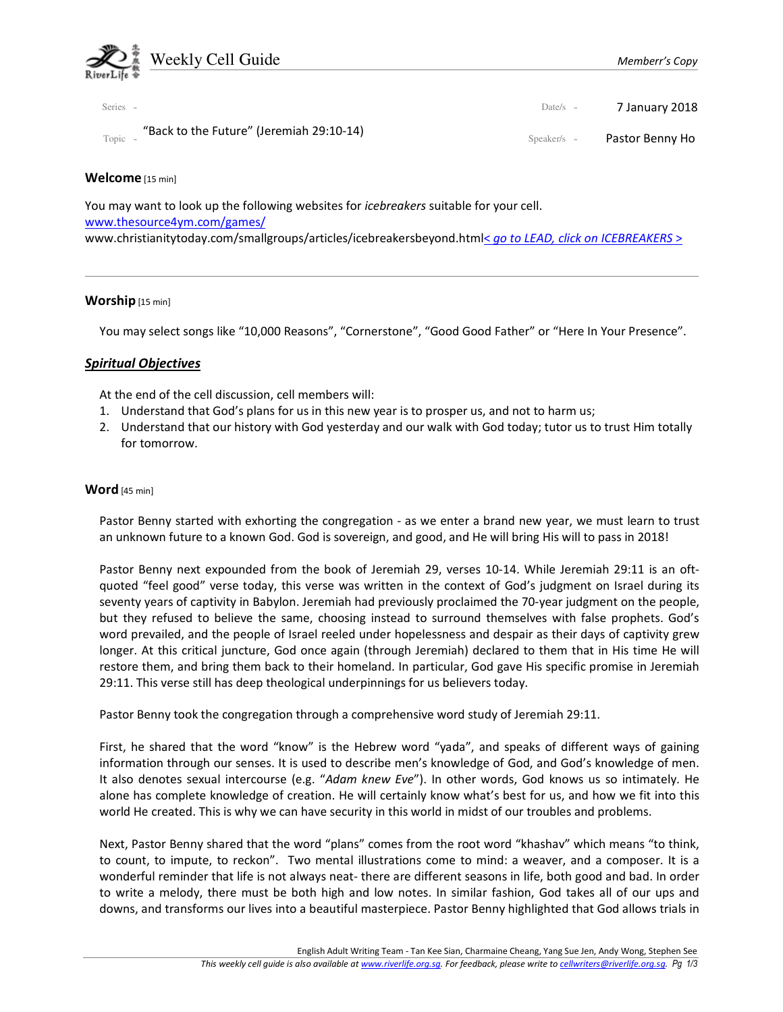

| Series -                                          | Date/s $-$  | 7 January 2018  |
|---------------------------------------------------|-------------|-----------------|
| "Back to the Future" (Jeremiah 29:10-14)<br>Topic | Speaker/s - | Pastor Benny Ho |

## Welcome [15 min]

You may want to look up the following websites for *icebreakers* suitable for your cell. www.thesource4ym.com/games/ www.christianitytoday.com/smallgroups/articles/icebreakersbeyond.html< go to LEAD, click on ICEBREAKERS >

## Worship [15 min]

You may select songs like "10,000 Reasons", "Cornerstone", "Good Good Father" or "Here In Your Presence".

# Spiritual Objectives

At the end of the cell discussion, cell members will:

- 1. Understand that God's plans for us in this new year is to prosper us, and not to harm us;
- 2. Understand that our history with God yesterday and our walk with God today; tutor us to trust Him totally for tomorrow.

## Word [45 min]

Pastor Benny started with exhorting the congregation - as we enter a brand new year, we must learn to trust an unknown future to a known God. God is sovereign, and good, and He will bring His will to pass in 2018!

Pastor Benny next expounded from the book of Jeremiah 29, verses 10-14. While Jeremiah 29:11 is an oftquoted "feel good" verse today, this verse was written in the context of God's judgment on Israel during its seventy years of captivity in Babylon. Jeremiah had previously proclaimed the 70-year judgment on the people, but they refused to believe the same, choosing instead to surround themselves with false prophets. God's word prevailed, and the people of Israel reeled under hopelessness and despair as their days of captivity grew longer. At this critical juncture, God once again (through Jeremiah) declared to them that in His time He will restore them, and bring them back to their homeland. In particular, God gave His specific promise in Jeremiah 29:11. This verse still has deep theological underpinnings for us believers today.

Pastor Benny took the congregation through a comprehensive word study of Jeremiah 29:11.

First, he shared that the word "know" is the Hebrew word "yada", and speaks of different ways of gaining information through our senses. It is used to describe men's knowledge of God, and God's knowledge of men. It also denotes sexual intercourse (e.g. "Adam knew Eve"). In other words, God knows us so intimately. He alone has complete knowledge of creation. He will certainly know what's best for us, and how we fit into this world He created. This is why we can have security in this world in midst of our troubles and problems.

Next, Pastor Benny shared that the word "plans" comes from the root word "khashav" which means "to think, to count, to impute, to reckon". Two mental illustrations come to mind: a weaver, and a composer. It is a wonderful reminder that life is not always neat- there are different seasons in life, both good and bad. In order to write a melody, there must be both high and low notes. In similar fashion, God takes all of our ups and downs, and transforms our lives into a beautiful masterpiece. Pastor Benny highlighted that God allows trials in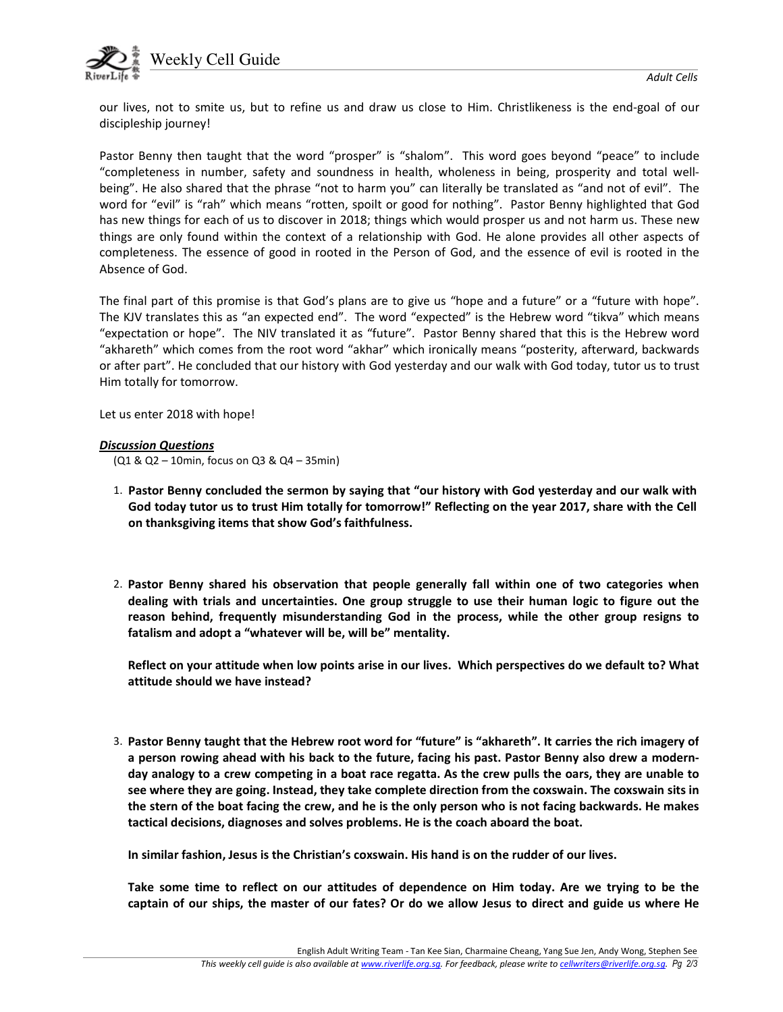

our lives, not to smite us, but to refine us and draw us close to Him. Christlikeness is the end-goal of our discipleship journey!

Pastor Benny then taught that the word "prosper" is "shalom". This word goes beyond "peace" to include "completeness in number, safety and soundness in health, wholeness in being, prosperity and total wellbeing". He also shared that the phrase "not to harm you" can literally be translated as "and not of evil". The word for "evil" is "rah" which means "rotten, spoilt or good for nothing". Pastor Benny highlighted that God has new things for each of us to discover in 2018; things which would prosper us and not harm us. These new things are only found within the context of a relationship with God. He alone provides all other aspects of completeness. The essence of good in rooted in the Person of God, and the essence of evil is rooted in the Absence of God.

The final part of this promise is that God's plans are to give us "hope and a future" or a "future with hope". The KJV translates this as "an expected end". The word "expected" is the Hebrew word "tikva" which means "expectation or hope". The NIV translated it as "future". Pastor Benny shared that this is the Hebrew word "akhareth" which comes from the root word "akhar" which ironically means "posterity, afterward, backwards or after part". He concluded that our history with God yesterday and our walk with God today, tutor us to trust Him totally for tomorrow.

Let us enter 2018 with hope!

#### Discussion Questions

(Q1 & Q2 – 10min, focus on Q3 & Q4 – 35min)

- 1. Pastor Benny concluded the sermon by saying that "our history with God yesterday and our walk with God today tutor us to trust Him totally for tomorrow!" Reflecting on the year 2017, share with the Cell on thanksgiving items that show God's faithfulness.
- 2. Pastor Benny shared his observation that people generally fall within one of two categories when dealing with trials and uncertainties. One group struggle to use their human logic to figure out the reason behind, frequently misunderstanding God in the process, while the other group resigns to fatalism and adopt a "whatever will be, will be" mentality.

Reflect on your attitude when low points arise in our lives. Which perspectives do we default to? What attitude should we have instead?

3. Pastor Benny taught that the Hebrew root word for "future" is "akhareth". It carries the rich imagery of a person rowing ahead with his back to the future, facing his past. Pastor Benny also drew a modernday analogy to a crew competing in a boat race regatta. As the crew pulls the oars, they are unable to see where they are going. Instead, they take complete direction from the coxswain. The coxswain sits in the stern of the boat facing the crew, and he is the only person who is not facing backwards. He makes tactical decisions, diagnoses and solves problems. He is the coach aboard the boat.

In similar fashion, Jesus is the Christian's coxswain. His hand is on the rudder of our lives.

Take some time to reflect on our attitudes of dependence on Him today. Are we trying to be the captain of our ships, the master of our fates? Or do we allow Jesus to direct and guide us where He